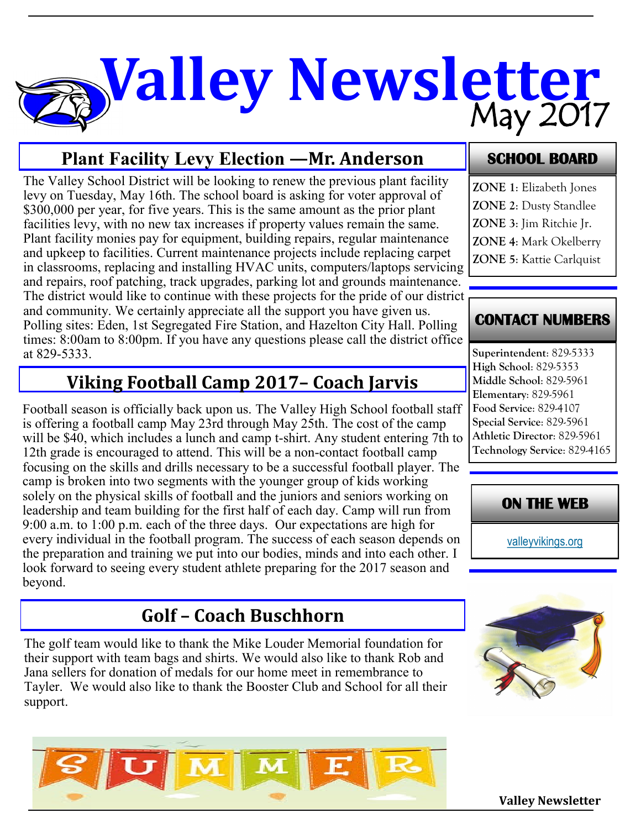# May 2017 **Valley Newsletter**

## **Plant Facility Levy Election —Mr. Anderson**

The Valley School District will be looking to renew the previous plant facility levy on Tuesday, May 16th. The school board is asking for voter approval of \$300,000 per year, for five years. This is the same amount as the prior plant facilities levy, with no new tax increases if property values remain the same. Plant facility monies pay for equipment, building repairs, regular maintenance and upkeep to facilities. Current maintenance projects include replacing carpet in classrooms, replacing and installing HVAC units, computers/laptops servicing and repairs, roof patching, track upgrades, parking lot and grounds maintenance. The district would like to continue with these projects for the pride of our district, and community. We certainly appreciate all the support you have given us. Polling sites: Eden, 1st Segregated Fire Station, and Hazelton City Hall. Polling times: 8:00am to 8:00pm. If you have any questions please call the district office at 829-5333.

# **Viking Football Camp 2017– Coach Jarvis**

Football season is officially back upon us. The Valley High School football staff is offering a football camp May 23rd through May 25th. The cost of the camp will be \$40, which includes a lunch and camp t-shirt. Any student entering 7th to 12th grade is encouraged to attend. This will be a non-contact football camp focusing on the skills and drills necessary to be a successful football player. The camp is broken into two segments with the younger group of kids working solely on the physical skills of football and the juniors and seniors working on leadership and team building for the first half of each day. Camp will run from 9:00 a.m. to 1:00 p.m. each of the three days. Our expectations are high for every individual in the football program. The success of each season depends on the preparation and training we put into our bodies, minds and into each other. I look forward to seeing every student athlete preparing for the 2017 season and beyond.

# **Golf – Coach Buschhorn**

The golf team would like to thank the Mike Louder Memorial foundation for their support with team bags and shirts. We would also like to thank Rob and Jana sellers for donation of medals for our home meet in remembrance to Tayler. We would also like to thank the Booster Club and School for all their support.

# $\overline{\mathbf{M}}$   $\overline{\mathbf{M}}$

#### **SCHOOL BOARD**

- **ZONE 1**: Elizabeth Jones
- **ZONE 2**: Dusty Standlee
- **ZONE 3**: Jim Ritchie Jr.
- **ZONE 4**: Mark Okelberry
- **ZONE 5**: Kattie Carlquist

#### **CONTACT NUMBERS**

**Superintendent**: 829-5333 **High School**: 829-5353 **Middle School**: 829-5961 **Elementary**: 829-5961 **Food Service**: 829-4107 **Special Service**: 829-5961 **Athletic Director**: 829-5961 **Technology Service**: 829-4165

#### **ON THE WEB**

[valleyvikings.org](http://www.valleyvikings.org/)



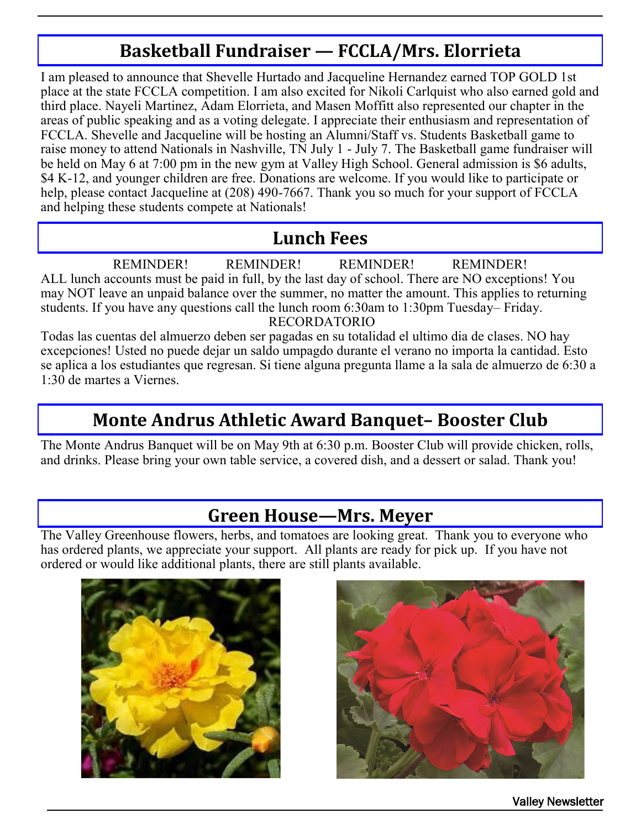# **Basketball Fundraiser — FCCLA/Mrs. Elorrieta**

I am pleased to announce that Shevelle Hurtado and Jacqueline Hernandez earned TOP GOLD 1st place at the state FCCLA competition. I am also excited for Nikoli Carlquist who also earned gold and third place. Nayeli Martinez, Adam Elorrieta, and Masen Moffitt also represented our chapter in the areas of public speaking and as a voting delegate. I appreciate their enthusiasm and representation of FCCLA. Shevelle and Jacqueline will be hosting an Alumni/Staff vs. Students Basketball game to raise money to attend Nationals in Nashville, TN July 1 - July 7. The Basketball game fundraiser will be held on May 6 at 7:00 pm in the new gym at Valley High School. General admission is \$6 adults, \$4 K-12, and younger children are free. Donations are welcome. If you would like to participate or help, please contact Jacqueline at (208) 490-7667. Thank you so much for your support of FCCLA and helping these students compete at Nationals!

#### **Lunch Fees**

REMINDER! REMINDER! REMINDER! REMINDER! ALL lunch accounts must be paid in full, by the last day of school. There are NO exceptions! You may NOT leave an unpaid balance over the summer, no matter the amount. This applies to returning students. If you have any questions call the lunch room 6:30am to 1:30pm Tuesday– Friday. RECORDATORIO

Todas las cuentas del almuerzo deben ser pagadas en su totalidad el ultimo dia de clases. NO hay excepciones! Usted no puede dejar un saldo umpagdo durante el verano no importa la cantidad. Esto se aplica a los estudiantes que regresan. Si tiene alguna pregunta llame a la sala de almuerzo de 6:30 a 1:30 de martes a Viernes.

## **Monte Andrus Athletic Award Banquet– Booster Club**

The Monte Andrus Banquet will be on May 9th at 6:30 p.m. Booster Club will provide chicken, rolls, and drinks. Please bring your own table service, a covered dish, and a dessert or salad. Thank you!

#### **Green House—Mrs. Meyer**

The Valley Greenhouse flowers, herbs, and tomatoes are looking great. Thank you to everyone who has ordered plants, we appreciate your support. All plants are ready for pick up. If you have not ordered or would like additional plants, there are still plants available.